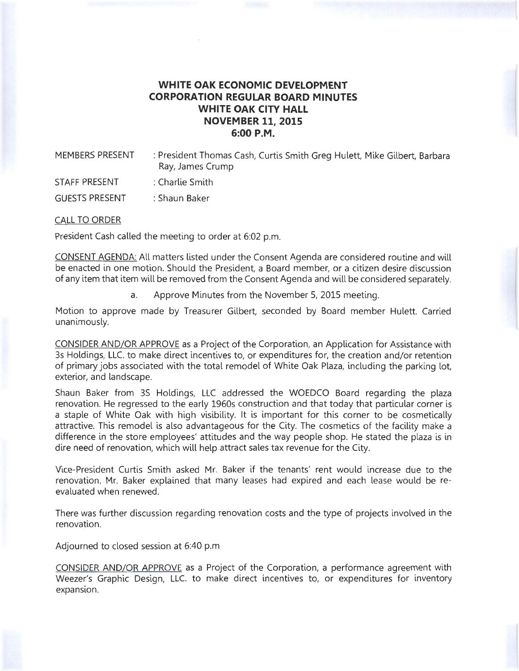## **WHITE OAK ECONOMIC DEVELOPMENT CORPORATION REGULAR BOARD MINUTES WHITE OAK CITY HALL NOVEMBER 11, 2015 6:00P.M.**

MEMBERS PRESENT : President Thomas Cash, Curtis Smith Greg Hulett, Mike Gilbert, Barbara Ray, James Crump

STAFF PRESENT : Charlie Smith

GUESTS PRESENT : Shaun Baker

CALL TO ORDER

President Cash called the meeting to order at 6:02 p.m.

CONSENT AGENDA: All matters listed under the Consent Agenda are considered routine and will be enacted in one motion. Should the President, a Board member, or a citizen desire discussion of any item that item will be removed from the Consent Agenda and will be considered separately.

a. Approve Minutes from the November 5, 2015 meeting.

Motion to approve made by Treasurer Gilbert, seconded by Board member Hulett. Carried unanimously.

CONSIDER AND/OR APPROVE as a Project of the Corporation, an Application for Assistance with 3s Holdings, LLC. to make direct incentives to, or expenditures for, the creation and/or retention of primary jobs associated with the total remodel of White Oak Plaza, including the parking lot, exterior, and landscape.

Shaun Baker from 3S Holdings, LLC addressed the WOEDCO Board regarding the plaza renovation. He regressed to the early 1960s construction and that today that particular corner is a staple of White Oak with high visibility. It is important for this corner to be cosmetically attractive. This remodel is also advantageous for the City. The cosmetics of the facility make a difference in the store employees' attitudes and the way people shop. He stated the plaza is in dire need of renovation, which will help attract sales tax revenue for the City.

Vice-President Curtis Smith asked Mr. Baker if the tenants' rent would increase due to the renovation. Mr. Baker explained that many leases had expired and each lease would be reevaluated when renewed.

There was further discussion regarding renovation costs and the type of projects involved in the renovation.

Adjourned to closed session at 6:40 p.m.

CONSIDER AND/OR APPROVE as a Project of the Corporation, a performance agreement with Weezer's Graphic Design, LLC. to make direct incentives to, or expenditures for inventory expansion.